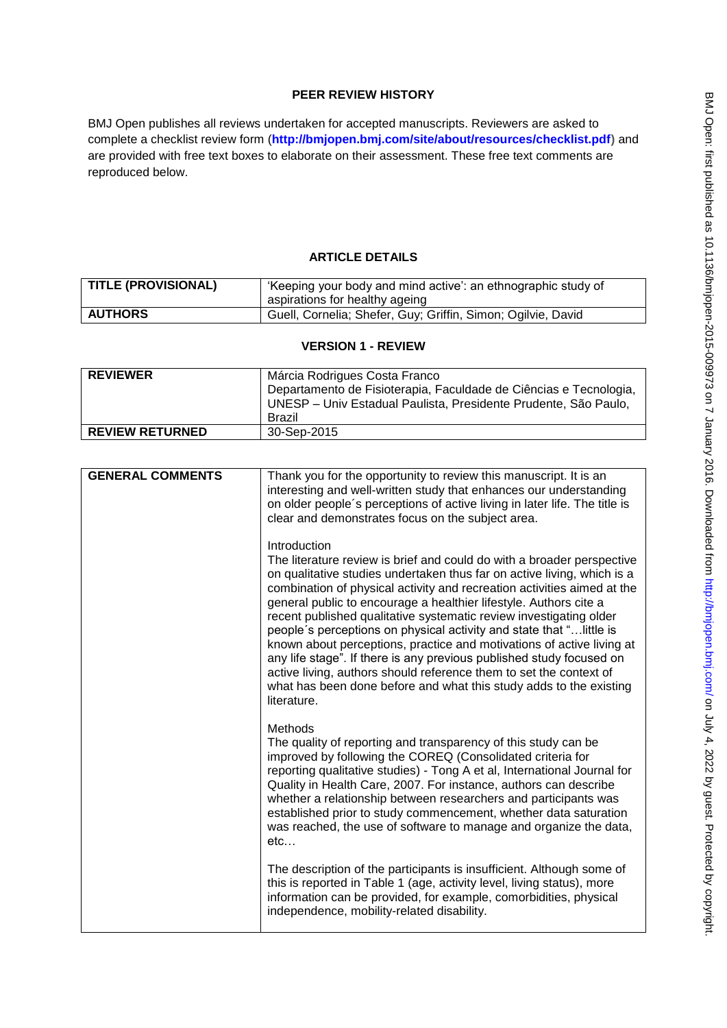# **PEER REVIEW HISTORY**

BMJ Open publishes all reviews undertaken for accepted manuscripts. Reviewers are asked to complete a checklist review form (**[http://bmjopen.bmj.com/site/about/resources/checklist.pdf\)](http://bmjopen.bmj.com/site/about/resources/checklist.pdf)** and are provided with free text boxes to elaborate on their assessment. These free text comments are reproduced below.

## **ARTICLE DETAILS**

| <b>TITLE (PROVISIONAL)</b> | 'Keeping your body and mind active': an ethnographic study of<br>aspirations for healthy ageing |
|----------------------------|-------------------------------------------------------------------------------------------------|
| <b>AUTHORS</b>             | Guell, Cornelia; Shefer, Guy; Griffin, Simon; Ogilvie, David                                    |

### **VERSION 1 - REVIEW**

| <b>REVIEWER</b>        | Márcia Rodrigues Costa Franco<br>Departamento de Fisioterapia, Faculdade de Ciências e Tecnologia,<br>UNESP - Univ Estadual Paulista, Presidente Prudente, São Paulo,<br>Brazil |
|------------------------|---------------------------------------------------------------------------------------------------------------------------------------------------------------------------------|
| <b>REVIEW RETURNED</b> | 30-Sep-2015                                                                                                                                                                     |

| <b>GENERAL COMMENTS</b> | Thank you for the opportunity to review this manuscript. It is an<br>interesting and well-written study that enhances our understanding<br>on older people's perceptions of active living in later life. The title is<br>clear and demonstrates focus on the subject area.                                                                                                                                                                                                                                                                                                                                                                                                                                                                                                  |
|-------------------------|-----------------------------------------------------------------------------------------------------------------------------------------------------------------------------------------------------------------------------------------------------------------------------------------------------------------------------------------------------------------------------------------------------------------------------------------------------------------------------------------------------------------------------------------------------------------------------------------------------------------------------------------------------------------------------------------------------------------------------------------------------------------------------|
|                         | Introduction<br>The literature review is brief and could do with a broader perspective<br>on qualitative studies undertaken thus far on active living, which is a<br>combination of physical activity and recreation activities aimed at the<br>general public to encourage a healthier lifestyle. Authors cite a<br>recent published qualitative systematic review investigating older<br>people's perceptions on physical activity and state that " little is<br>known about perceptions, practice and motivations of active living at<br>any life stage". If there is any previous published study focused on<br>active living, authors should reference them to set the context of<br>what has been done before and what this study adds to the existing<br>literature. |
|                         | <b>Methods</b><br>The quality of reporting and transparency of this study can be<br>improved by following the COREQ (Consolidated criteria for<br>reporting qualitative studies) - Tong A et al, International Journal for<br>Quality in Health Care, 2007. For instance, authors can describe<br>whether a relationship between researchers and participants was<br>established prior to study commencement, whether data saturation<br>was reached, the use of software to manage and organize the data,<br>etc                                                                                                                                                                                                                                                           |
|                         | The description of the participants is insufficient. Although some of<br>this is reported in Table 1 (age, activity level, living status), more<br>information can be provided, for example, comorbidities, physical<br>independence, mobility-related disability.                                                                                                                                                                                                                                                                                                                                                                                                                                                                                                          |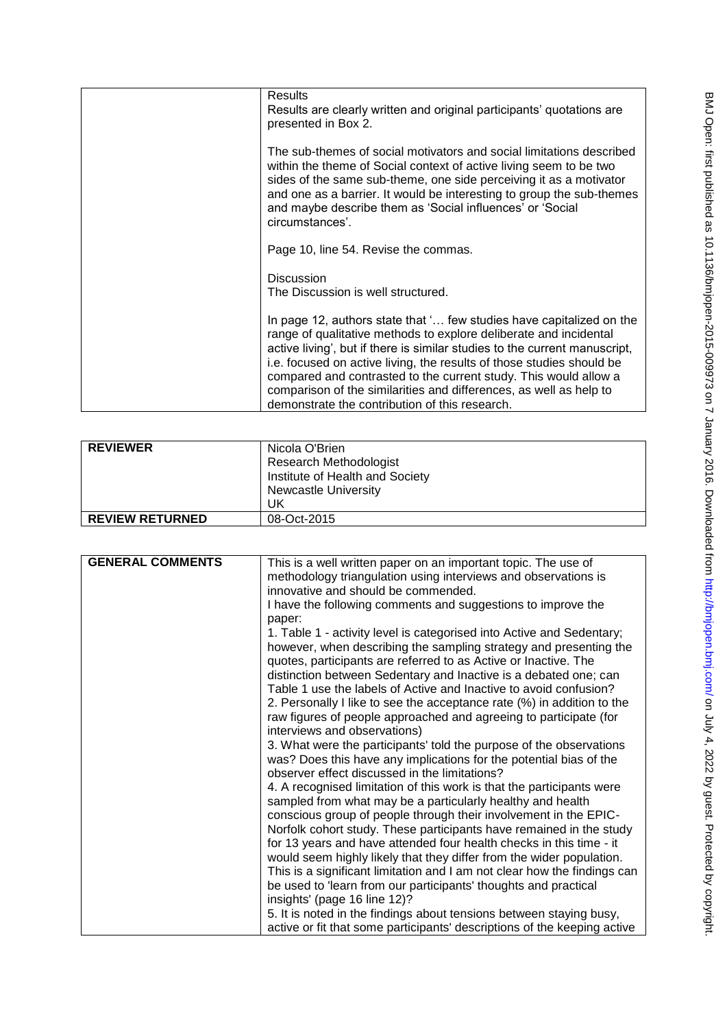| <b>Results</b>                                                                                                                                                                                                                                                                                                                                                                                                                                                                               |
|----------------------------------------------------------------------------------------------------------------------------------------------------------------------------------------------------------------------------------------------------------------------------------------------------------------------------------------------------------------------------------------------------------------------------------------------------------------------------------------------|
| Results are clearly written and original participants' quotations are<br>presented in Box 2.                                                                                                                                                                                                                                                                                                                                                                                                 |
| The sub-themes of social motivators and social limitations described<br>within the theme of Social context of active living seem to be two<br>sides of the same sub-theme, one side perceiving it as a motivator<br>and one as a barrier. It would be interesting to group the sub-themes<br>and maybe describe them as 'Social influences' or 'Social<br>circumstances'.                                                                                                                    |
| Page 10, line 54. Revise the commas.                                                                                                                                                                                                                                                                                                                                                                                                                                                         |
| <b>Discussion</b><br>The Discussion is well structured.                                                                                                                                                                                                                                                                                                                                                                                                                                      |
| In page 12, authors state that ' few studies have capitalized on the<br>range of qualitative methods to explore deliberate and incidental<br>active living', but if there is similar studies to the current manuscript,<br>i.e. focused on active living, the results of those studies should be<br>compared and contrasted to the current study. This would allow a<br>comparison of the similarities and differences, as well as help to<br>demonstrate the contribution of this research. |

| <b>REVIEWER</b>        | Nicola O'Brien<br><b>Research Methodologist</b><br>Institute of Health and Society<br><b>Newcastle University</b><br>UK |
|------------------------|-------------------------------------------------------------------------------------------------------------------------|
| <b>REVIEW RETURNED</b> | 08-Oct-2015                                                                                                             |

| <b>GENERAL COMMENTS</b> | This is a well written paper on an important topic. The use of           |
|-------------------------|--------------------------------------------------------------------------|
|                         | methodology triangulation using interviews and observations is           |
|                         | innovative and should be commended.                                      |
|                         | I have the following comments and suggestions to improve the             |
|                         | paper:                                                                   |
|                         | 1. Table 1 - activity level is categorised into Active and Sedentary;    |
|                         | however, when describing the sampling strategy and presenting the        |
|                         | quotes, participants are referred to as Active or Inactive. The          |
|                         | distinction between Sedentary and Inactive is a debated one; can         |
|                         | Table 1 use the labels of Active and Inactive to avoid confusion?        |
|                         | 2. Personally I like to see the acceptance rate (%) in addition to the   |
|                         | raw figures of people approached and agreeing to participate (for        |
|                         | interviews and observations)                                             |
|                         | 3. What were the participants' told the purpose of the observations      |
|                         | was? Does this have any implications for the potential bias of the       |
|                         | observer effect discussed in the limitations?                            |
|                         | 4. A recognised limitation of this work is that the participants were    |
|                         | sampled from what may be a particularly healthy and health               |
|                         | conscious group of people through their involvement in the EPIC-         |
|                         | Norfolk cohort study. These participants have remained in the study      |
|                         | for 13 years and have attended four health checks in this time - it      |
|                         | would seem highly likely that they differ from the wider population.     |
|                         | This is a significant limitation and I am not clear how the findings can |
|                         | be used to 'learn from our participants' thoughts and practical          |
|                         | insights' (page 16 line 12)?                                             |
|                         | 5. It is noted in the findings about tensions between staying busy,      |
|                         | active or fit that some participants' descriptions of the keeping active |
|                         |                                                                          |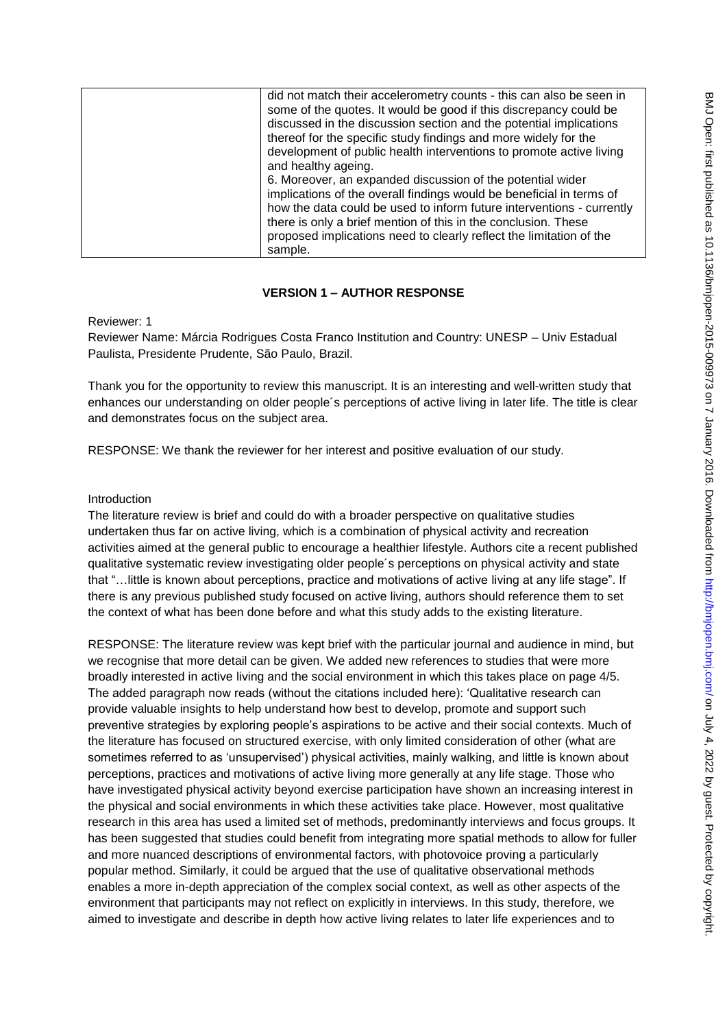| did not match their accelerometry counts - this can also be seen in<br>some of the quotes. It would be good if this discrepancy could be<br>discussed in the discussion section and the potential implications<br>thereof for the specific study findings and more widely for the<br>development of public health interventions to promote active living<br>and healthy ageing. |
|---------------------------------------------------------------------------------------------------------------------------------------------------------------------------------------------------------------------------------------------------------------------------------------------------------------------------------------------------------------------------------|
| 6. Moreover, an expanded discussion of the potential wider<br>implications of the overall findings would be beneficial in terms of<br>how the data could be used to inform future interventions - currently<br>there is only a brief mention of this in the conclusion. These<br>proposed implications need to clearly reflect the limitation of the<br>sample.                 |

### **VERSION 1 – AUTHOR RESPONSE**

Reviewer: 1

Reviewer Name: Márcia Rodrigues Costa Franco Institution and Country: UNESP – Univ Estadual Paulista, Presidente Prudente, São Paulo, Brazil.

Thank you for the opportunity to review this manuscript. It is an interesting and well-written study that enhances our understanding on older people´s perceptions of active living in later life. The title is clear and demonstrates focus on the subject area.

RESPONSE: We thank the reviewer for her interest and positive evaluation of our study.

#### Introduction

The literature review is brief and could do with a broader perspective on qualitative studies undertaken thus far on active living, which is a combination of physical activity and recreation activities aimed at the general public to encourage a healthier lifestyle. Authors cite a recent published qualitative systematic review investigating older people´s perceptions on physical activity and state that "…little is known about perceptions, practice and motivations of active living at any life stage". If there is any previous published study focused on active living, authors should reference them to set the context of what has been done before and what this study adds to the existing literature.

RESPONSE: The literature review was kept brief with the particular journal and audience in mind, but we recognise that more detail can be given. We added new references to studies that were more broadly interested in active living and the social environment in which this takes place on page 4/5. The added paragraph now reads (without the citations included here): 'Qualitative research can provide valuable insights to help understand how best to develop, promote and support such preventive strategies by exploring people's aspirations to be active and their social contexts. Much of the literature has focused on structured exercise, with only limited consideration of other (what are sometimes referred to as 'unsupervised') physical activities, mainly walking, and little is known about perceptions, practices and motivations of active living more generally at any life stage. Those who have investigated physical activity beyond exercise participation have shown an increasing interest in the physical and social environments in which these activities take place. However, most qualitative research in this area has used a limited set of methods, predominantly interviews and focus groups. It has been suggested that studies could benefit from integrating more spatial methods to allow for fuller and more nuanced descriptions of environmental factors, with photovoice proving a particularly popular method. Similarly, it could be argued that the use of qualitative observational methods enables a more in-depth appreciation of the complex social context, as well as other aspects of the environment that participants may not reflect on explicitly in interviews. In this study, therefore, we aimed to investigate and describe in depth how active living relates to later life experiences and to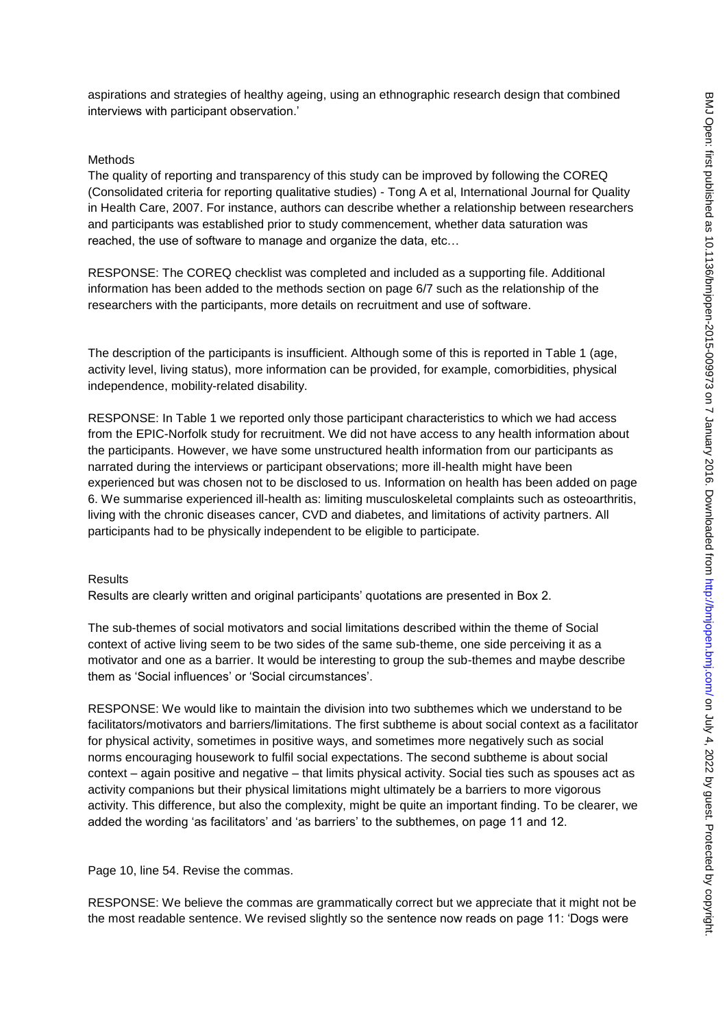aspirations and strategies of healthy ageing, using an ethnographic research design that combined interviews with participant observation.'

#### Methods

The quality of reporting and transparency of this study can be improved by following the COREQ (Consolidated criteria for reporting qualitative studies) - Tong A et al, International Journal for Quality in Health Care, 2007. For instance, authors can describe whether a relationship between researchers and participants was established prior to study commencement, whether data saturation was reached, the use of software to manage and organize the data, etc…

RESPONSE: The COREQ checklist was completed and included as a supporting file. Additional information has been added to the methods section on page 6/7 such as the relationship of the researchers with the participants, more details on recruitment and use of software.

The description of the participants is insufficient. Although some of this is reported in Table 1 (age, activity level, living status), more information can be provided, for example, comorbidities, physical independence, mobility-related disability.

RESPONSE: In Table 1 we reported only those participant characteristics to which we had access from the EPIC-Norfolk study for recruitment. We did not have access to any health information about the participants. However, we have some unstructured health information from our participants as narrated during the interviews or participant observations; more ill-health might have been experienced but was chosen not to be disclosed to us. Information on health has been added on page 6. We summarise experienced ill-health as: limiting musculoskeletal complaints such as osteoarthritis, living with the chronic diseases cancer, CVD and diabetes, and limitations of activity partners. All participants had to be physically independent to be eligible to participate.

#### Results

Results are clearly written and original participants' quotations are presented in Box 2.

The sub-themes of social motivators and social limitations described within the theme of Social context of active living seem to be two sides of the same sub-theme, one side perceiving it as a motivator and one as a barrier. It would be interesting to group the sub-themes and maybe describe them as 'Social influences' or 'Social circumstances'.

RESPONSE: We would like to maintain the division into two subthemes which we understand to be facilitators/motivators and barriers/limitations. The first subtheme is about social context as a facilitator for physical activity, sometimes in positive ways, and sometimes more negatively such as social norms encouraging housework to fulfil social expectations. The second subtheme is about social context – again positive and negative – that limits physical activity. Social ties such as spouses act as activity companions but their physical limitations might ultimately be a barriers to more vigorous activity. This difference, but also the complexity, might be quite an important finding. To be clearer, we added the wording 'as facilitators' and 'as barriers' to the subthemes, on page 11 and 12.

Page 10, line 54. Revise the commas.

RESPONSE: We believe the commas are grammatically correct but we appreciate that it might not be the most readable sentence. We revised slightly so the sentence now reads on page 11: 'Dogs were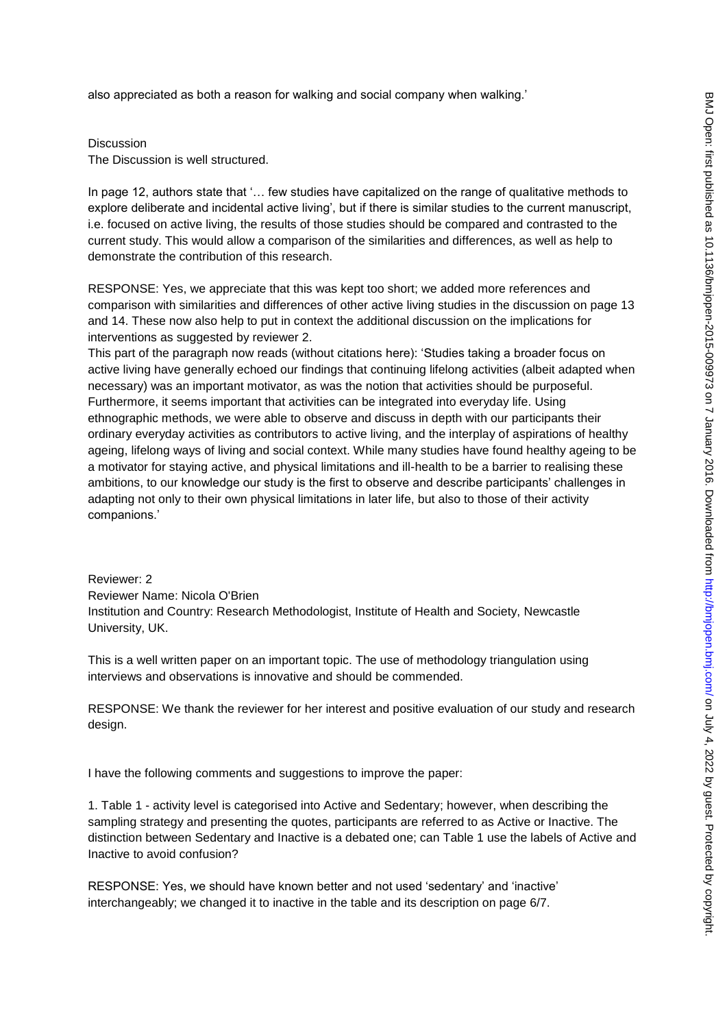also appreciated as both a reason for walking and social company when walking.'

Discussion

The Discussion is well structured.

In page 12, authors state that '… few studies have capitalized on the range of qualitative methods to explore deliberate and incidental active living', but if there is similar studies to the current manuscript, i.e. focused on active living, the results of those studies should be compared and contrasted to the current study. This would allow a comparison of the similarities and differences, as well as help to demonstrate the contribution of this research.

RESPONSE: Yes, we appreciate that this was kept too short; we added more references and comparison with similarities and differences of other active living studies in the discussion on page 13 and 14. These now also help to put in context the additional discussion on the implications for interventions as suggested by reviewer 2.

This part of the paragraph now reads (without citations here): 'Studies taking a broader focus on active living have generally echoed our findings that continuing lifelong activities (albeit adapted when necessary) was an important motivator, as was the notion that activities should be purposeful. Furthermore, it seems important that activities can be integrated into everyday life. Using ethnographic methods, we were able to observe and discuss in depth with our participants their ordinary everyday activities as contributors to active living, and the interplay of aspirations of healthy ageing, lifelong ways of living and social context. While many studies have found healthy ageing to be a motivator for staying active, and physical limitations and ill-health to be a barrier to realising these ambitions, to our knowledge our study is the first to observe and describe participants' challenges in adapting not only to their own physical limitations in later life, but also to those of their activity companions.'

Reviewer: 2 Reviewer Name: Nicola O'Brien Institution and Country: Research Methodologist, Institute of Health and Society, Newcastle University, UK.

This is a well written paper on an important topic. The use of methodology triangulation using interviews and observations is innovative and should be commended.

RESPONSE: We thank the reviewer for her interest and positive evaluation of our study and research design.

I have the following comments and suggestions to improve the paper:

1. Table 1 - activity level is categorised into Active and Sedentary; however, when describing the sampling strategy and presenting the quotes, participants are referred to as Active or Inactive. The distinction between Sedentary and Inactive is a debated one; can Table 1 use the labels of Active and Inactive to avoid confusion?

RESPONSE: Yes, we should have known better and not used 'sedentary' and 'inactive' interchangeably; we changed it to inactive in the table and its description on page 6/7.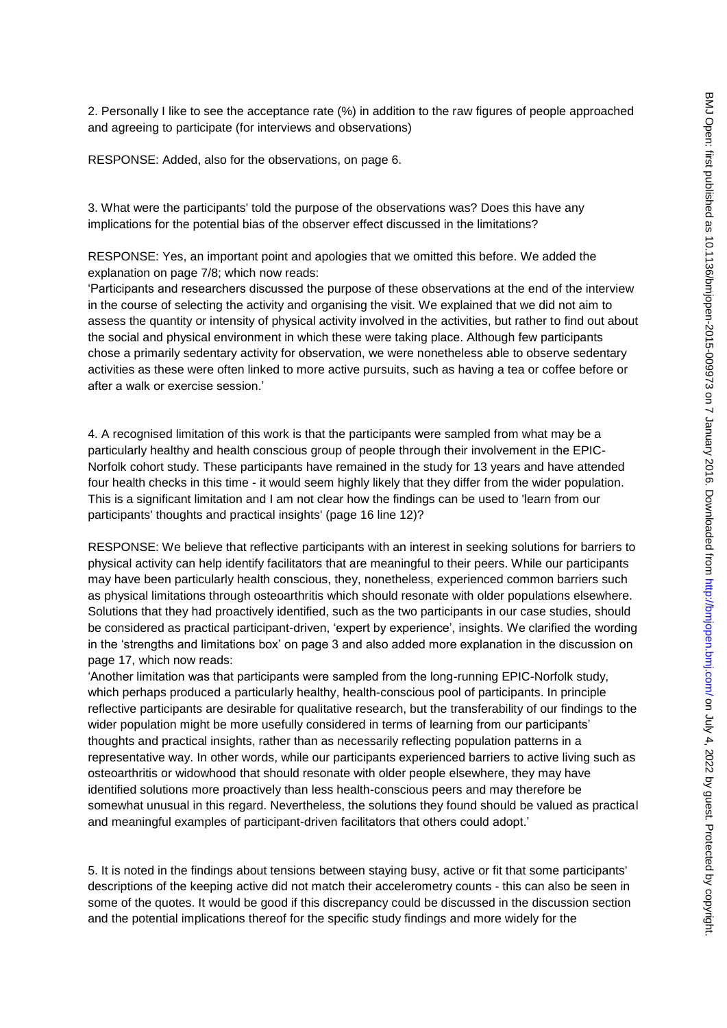2. Personally I like to see the acceptance rate (%) in addition to the raw figures of people approached and agreeing to participate (for interviews and observations)

RESPONSE: Added, also for the observations, on page 6.

3. What were the participants' told the purpose of the observations was? Does this have any implications for the potential bias of the observer effect discussed in the limitations?

RESPONSE: Yes, an important point and apologies that we omitted this before. We added the explanation on page 7/8; which now reads:

'Participants and researchers discussed the purpose of these observations at the end of the interview in the course of selecting the activity and organising the visit. We explained that we did not aim to assess the quantity or intensity of physical activity involved in the activities, but rather to find out about the social and physical environment in which these were taking place. Although few participants chose a primarily sedentary activity for observation, we were nonetheless able to observe sedentary activities as these were often linked to more active pursuits, such as having a tea or coffee before or after a walk or exercise session.'

4. A recognised limitation of this work is that the participants were sampled from what may be a particularly healthy and health conscious group of people through their involvement in the EPIC-Norfolk cohort study. These participants have remained in the study for 13 years and have attended four health checks in this time - it would seem highly likely that they differ from the wider population. This is a significant limitation and I am not clear how the findings can be used to 'learn from our participants' thoughts and practical insights' (page 16 line 12)?

RESPONSE: We believe that reflective participants with an interest in seeking solutions for barriers to physical activity can help identify facilitators that are meaningful to their peers. While our participants may have been particularly health conscious, they, nonetheless, experienced common barriers such as physical limitations through osteoarthritis which should resonate with older populations elsewhere. Solutions that they had proactively identified, such as the two participants in our case studies, should be considered as practical participant-driven, 'expert by experience', insights. We clarified the wording in the 'strengths and limitations box' on page 3 and also added more explanation in the discussion on page 17, which now reads:

'Another limitation was that participants were sampled from the long-running EPIC-Norfolk study, which perhaps produced a particularly healthy, health-conscious pool of participants. In principle reflective participants are desirable for qualitative research, but the transferability of our findings to the wider population might be more usefully considered in terms of learning from our participants' thoughts and practical insights, rather than as necessarily reflecting population patterns in a representative way. In other words, while our participants experienced barriers to active living such as osteoarthritis or widowhood that should resonate with older people elsewhere, they may have identified solutions more proactively than less health-conscious peers and may therefore be somewhat unusual in this regard. Nevertheless, the solutions they found should be valued as practical and meaningful examples of participant-driven facilitators that others could adopt.'

5. It is noted in the findings about tensions between staying busy, active or fit that some participants' descriptions of the keeping active did not match their accelerometry counts - this can also be seen in some of the quotes. It would be good if this discrepancy could be discussed in the discussion section and the potential implications thereof for the specific study findings and more widely for the